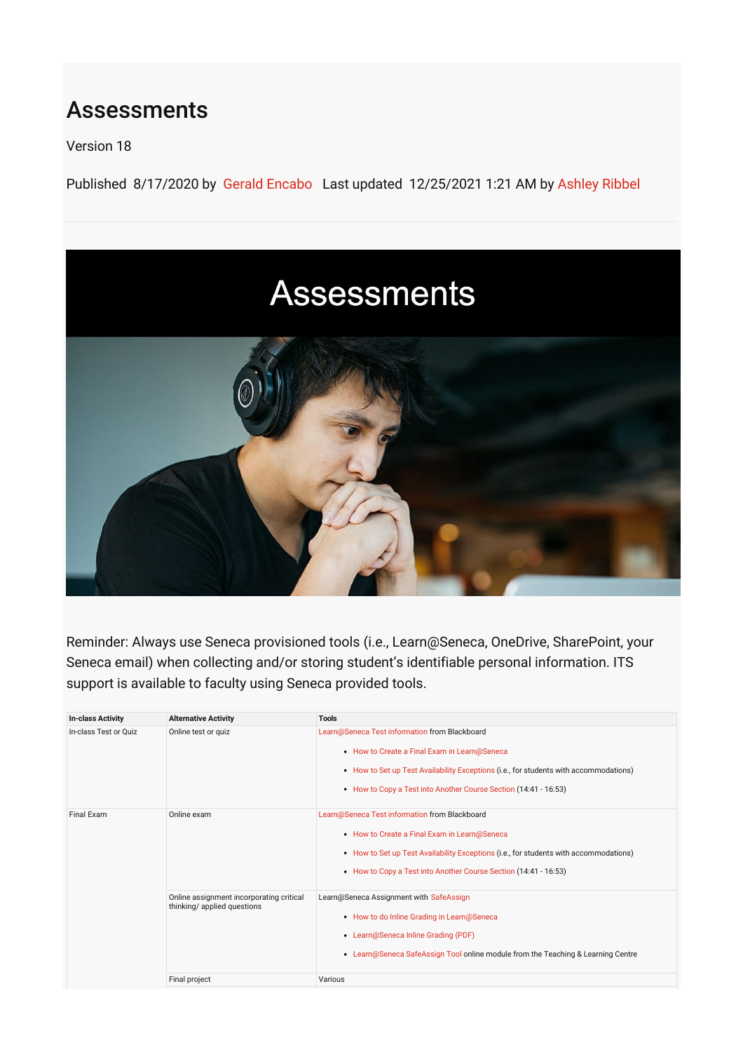## Assessments

Version 18

Published 8/17/2020 by [Gerald Encabo](https://employees.senecacollege.ca/people/GERALD-ENCABO) Last updated 12/25/2021 1:21 AM by [Ashley Ribbel](https://employees.senecacollege.ca/people/ashley-ribbel)

## **Assessments**



Reminder: Always use Seneca provisioned tools (i.e., Learn@Seneca, OneDrive, SharePoint, your Seneca email) when collecting and/or storing student's identifiable personal information. ITS support is available to faculty using Seneca provided tools.

| <b>In-class Activity</b> | <b>Alternative Activity</b>                                             | <b>Tools</b>                                                                                                                                                                                                                                               |
|--------------------------|-------------------------------------------------------------------------|------------------------------------------------------------------------------------------------------------------------------------------------------------------------------------------------------------------------------------------------------------|
| In-class Test or Ouiz    | Online test or quiz                                                     | Learn@Seneca Test information from Blackboard<br>• How to Create a Final Exam in Learn@Seneca<br>• How to Set up Test Availability Exceptions (i.e., for students with accommodations)<br>• How to Copy a Test into Another Course Section (14:41 - 16:53) |
| Final Exam               | Online exam                                                             | Learn@Seneca Test information from Blackboard<br>• How to Create a Final Exam in Learn@Seneca<br>• How to Set up Test Availability Exceptions (i.e., for students with accommodations)<br>• How to Copy a Test into Another Course Section (14:41 - 16:53) |
|                          | Online assignment incorporating critical<br>thinking/ applied questions | Learn@Seneca Assignment with SafeAssign<br>• How to do Inline Grading in Learn@Seneca<br>• Learn@Seneca Inline Grading (PDF)<br>• Learn@Seneca SafeAssign Tool online module from the Teaching & Learning Centre                                           |
|                          | Final project                                                           | Various                                                                                                                                                                                                                                                    |